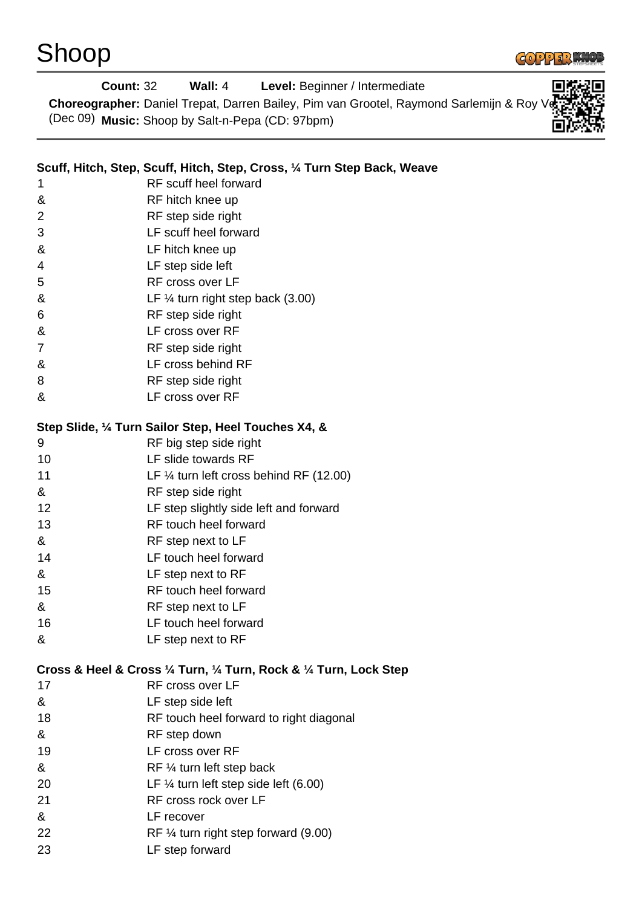

| <b>Count: 32</b> | Wall: 4                                                                  | Level: Beginner / Intermediate                                                          |  |
|------------------|--------------------------------------------------------------------------|-----------------------------------------------------------------------------------------|--|
|                  |                                                                          | Choreographer: Daniel Trepat, Darren Bailey, Pim van Grootel, Raymond Sarlemijn & Roy ' |  |
|                  | (Dec 09) Music: Shoop by Salt-n-Pepa (CD: 97bpm)                         |                                                                                         |  |
|                  |                                                                          |                                                                                         |  |
|                  |                                                                          |                                                                                         |  |
|                  | Scuff, Hitch, Step, Scuff, Hitch, Step, Cross, 1/4 Turn Step Back, Weave |                                                                                         |  |
| 1                | RF scuff heel forward                                                    |                                                                                         |  |
| &                | RF hitch knee up                                                         |                                                                                         |  |
| 2                | RF step side right                                                       |                                                                                         |  |
| 3                | LF scuff heel forward                                                    |                                                                                         |  |
| &                | LF hitch knee up                                                         |                                                                                         |  |
| 4                | LF step side left                                                        |                                                                                         |  |
| 5                | RF cross over LF                                                         |                                                                                         |  |
| &                | LF $\frac{1}{4}$ turn right step back (3.00)                             |                                                                                         |  |
| 6                | RF step side right                                                       |                                                                                         |  |
| &                | LF cross over RF                                                         |                                                                                         |  |
| 7                | RF step side right                                                       |                                                                                         |  |
| &                | LF cross behind RF                                                       |                                                                                         |  |
| 8                | RF step side right                                                       |                                                                                         |  |
| &                | LF cross over RF                                                         |                                                                                         |  |
|                  | Step Slide, 1/4 Turn Sailor Step, Heel Touches X4, &                     |                                                                                         |  |
| 9                | RF big step side right                                                   |                                                                                         |  |
| 10               | LF slide towards RF                                                      |                                                                                         |  |
| 11               | LF $\frac{1}{4}$ turn left cross behind RF (12.00)                       |                                                                                         |  |
| &                | RF step side right                                                       |                                                                                         |  |
| 12               | LF step slightly side left and forward                                   |                                                                                         |  |
| 13               | RF touch heel forward                                                    |                                                                                         |  |
|                  |                                                                          |                                                                                         |  |
| &                | RF step next to LF                                                       |                                                                                         |  |
| 14               | LF touch heel forward                                                    |                                                                                         |  |
| &                | LF step next to RF                                                       |                                                                                         |  |
| 15               | RF touch heel forward                                                    |                                                                                         |  |
| &                | RF step next to LF                                                       |                                                                                         |  |
| 16               | LF touch heel forward                                                    |                                                                                         |  |
| &                | LF step next to RF                                                       |                                                                                         |  |
|                  | Cross & Heel & Cross 1/4 Turn, 1/4 Turn, Rock & 1/4 Turn, Lock Step      |                                                                                         |  |
| 17               | RF cross over LF                                                         |                                                                                         |  |
| &                | LF step side left                                                        |                                                                                         |  |
| 18               | RF touch heel forward to right diagonal                                  |                                                                                         |  |
| &                | RF step down                                                             |                                                                                         |  |
| 19               | LF cross over RF                                                         |                                                                                         |  |
| &                | RF 1/4 turn left step back                                               |                                                                                         |  |
| 20               | LF $\frac{1}{4}$ turn left step side left (6.00)                         |                                                                                         |  |
| 21               | RF cross rock over LF                                                    |                                                                                         |  |
| &                | LF recover                                                               |                                                                                         |  |
| 22               | RF $\frac{1}{4}$ turn right step forward (9.00)                          |                                                                                         |  |
| 23               | LF step forward                                                          |                                                                                         |  |
|                  |                                                                          |                                                                                         |  |